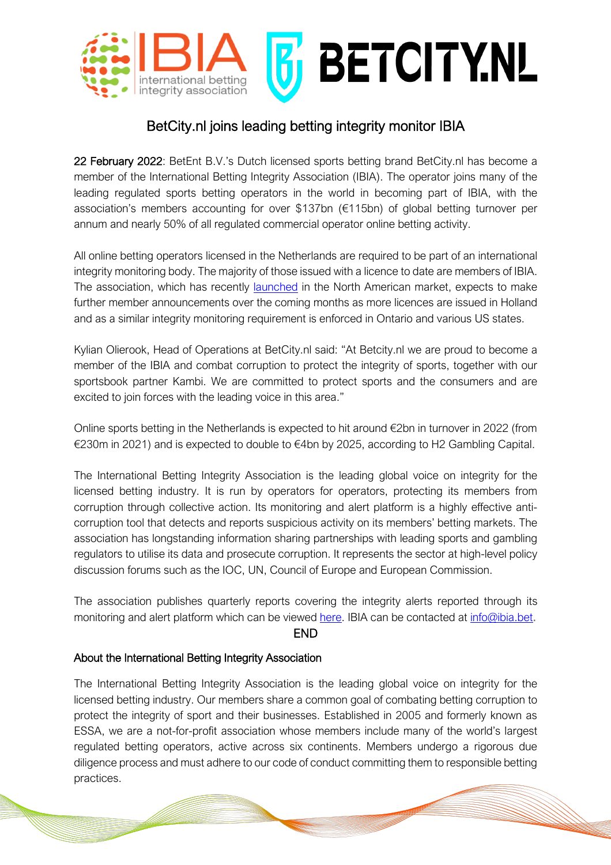

## BetCity.nl joins leading betting integrity monitor IBIA

22 February 2022: BetEnt B.V.'s Dutch licensed sports betting brand BetCity.nl has become a member of the International Betting Integrity Association (IBIA). The operator joins many of the leading regulated sports betting operators in the world in becoming part of IBIA, with the association's members accounting for over \$137bn (€115bn) of global betting turnover per annum and nearly 50% of all regulated commercial operator online betting activity.

All online betting operators licensed in the Netherlands are required to be part of an international integrity monitoring body. The majority of those issued with a licence to date are members of IBIA. The association, which has recently launched in the North American market, expects to make further member announcements over the coming months as more licences are issued in Holland and as a similar integrity monitoring requirement is enforced in Ontario and various US states.

Kylian Olierook, Head of Operations at BetCity.nl said: "At Betcity.nl we are proud to become a member of the IBIA and combat corruption to protect the integrity of sports, together with our sportsbook partner Kambi. We are committed to protect sports and the consumers and are excited to join forces with the leading voice in this area."

Online sports betting in the Netherlands is expected to hit around €2bn in turnover in 2022 (from €230m in 2021) and is expected to double to €4bn by 2025, according to H2 Gambling Capital.

The International Betting Integrity Association is the leading global voice on integrity for the licensed betting industry. It is run by operators for operators, protecting its members from corruption through collective action. Its monitoring and alert platform is a highly effective anticorruption tool that detects and reports suspicious activity on its members' betting markets. The association has longstanding information sharing partnerships with leading sports and gambling regulators to utilise its data and prosecute corruption. It represents the sector at high-level policy discussion forums such as the IOC, UN, Council of Europe and European Commission.

The association publishes quarterly reports covering the integrity alerts reported through its monitoring and alert platform which can be viewed here. IBIA can be contacted at info@ibia.bet.

## END

## About the International Betting Integrity Association

The International Betting Integrity Association is the leading global voice on integrity for the licensed betting industry. Our members share a common goal of combating betting corruption to protect the integrity of sport and their businesses. Established in 2005 and formerly known as ESSA, we are a not-for-profit association whose members include many of the world's largest regulated betting operators, active across six continents. Members undergo a rigorous due diligence process and must adhere to our code of conduct committing them to responsible betting practices.